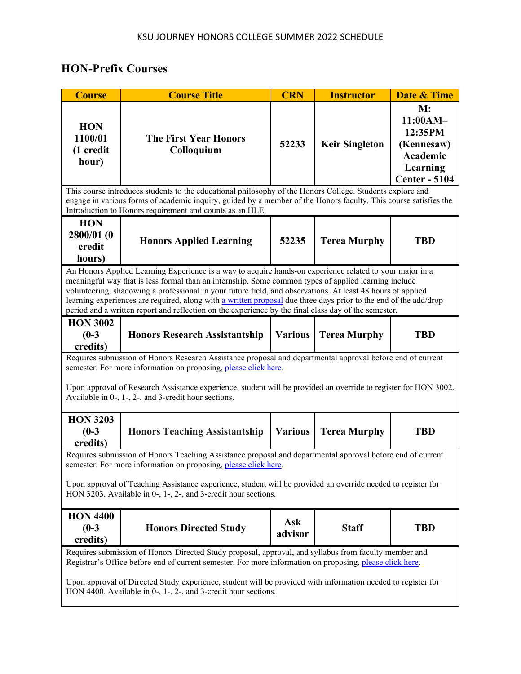## **HON-Prefix Courses**

| <b>Course</b>                                                                                                                                                                                                                                                                                                                                                                                                                                                                                                                                               | <b>Course Title</b>                        | <b>CRN</b>     | <b>Instructor</b>     | <b>Date &amp; Time</b>                                                                  |  |  |
|-------------------------------------------------------------------------------------------------------------------------------------------------------------------------------------------------------------------------------------------------------------------------------------------------------------------------------------------------------------------------------------------------------------------------------------------------------------------------------------------------------------------------------------------------------------|--------------------------------------------|----------------|-----------------------|-----------------------------------------------------------------------------------------|--|--|
| <b>HON</b><br>1100/01<br>(1 credit<br>hour)                                                                                                                                                                                                                                                                                                                                                                                                                                                                                                                 | <b>The First Year Honors</b><br>Colloquium | 52233          | <b>Keir Singleton</b> | M:<br>11:00AM-<br>12:35PM<br>(Kennesaw)<br>Academic<br>Learning<br><b>Center - 5104</b> |  |  |
| This course introduces students to the educational philosophy of the Honors College. Students explore and<br>engage in various forms of academic inquiry, guided by a member of the Honors faculty. This course satisfies the<br>Introduction to Honors requirement and counts as an HLE.                                                                                                                                                                                                                                                                   |                                            |                |                       |                                                                                         |  |  |
| <b>HON</b><br>2800/01 (0<br>credit<br>hours)                                                                                                                                                                                                                                                                                                                                                                                                                                                                                                                | <b>Honors Applied Learning</b>             | 52235          | <b>Terea Murphy</b>   | <b>TBD</b>                                                                              |  |  |
| An Honors Applied Learning Experience is a way to acquire hands-on experience related to your major in a<br>meaningful way that is less formal than an internship. Some common types of applied learning include<br>volunteering, shadowing a professional in your future field, and observations. At least 48 hours of applied<br>learning experiences are required, along with a written proposal due three days prior to the end of the add/drop<br>period and a written report and reflection on the experience by the final class day of the semester. |                                            |                |                       |                                                                                         |  |  |
| <b>HON 3002</b><br>$(0-3)$<br>credits)                                                                                                                                                                                                                                                                                                                                                                                                                                                                                                                      | <b>Honors Research Assistantship</b>       | <b>Various</b> | <b>Terea Murphy</b>   | <b>TBD</b>                                                                              |  |  |
| Requires submission of Honors Research Assistance proposal and departmental approval before end of current<br>semester. For more information on proposing, please click here.<br>Upon approval of Research Assistance experience, student will be provided an override to register for HON 3002.<br>Available in 0-, 1-, 2-, and 3-credit hour sections.                                                                                                                                                                                                    |                                            |                |                       |                                                                                         |  |  |
| <b>HON 3203</b><br>$(0-3)$<br>credits)                                                                                                                                                                                                                                                                                                                                                                                                                                                                                                                      | <b>Honors Teaching Assistantship</b>       | <b>Various</b> | <b>Terea Murphy</b>   | <b>TBD</b>                                                                              |  |  |
| Requires submission of Honors Teaching Assistance proposal and departmental approval before end of current<br>semester. For more information on proposing, please click here.<br>Upon approval of Teaching Assistance experience, student will be provided an override needed to register for<br>HON 3203. Available in 0-, 1-, 2-, and 3-credit hour sections.                                                                                                                                                                                             |                                            |                |                       |                                                                                         |  |  |
| <b>HON 4400</b><br>$(0-3)$<br>credits)                                                                                                                                                                                                                                                                                                                                                                                                                                                                                                                      | <b>Honors Directed Study</b>               | Ask<br>advisor | <b>Staff</b>          | <b>TBD</b>                                                                              |  |  |
| Requires submission of Honors Directed Study proposal, approval, and syllabus from faculty member and<br>Registrar's Office before end of current semester. For more information on proposing, please click here.<br>Upon approval of Directed Study experience, student will be provided with information needed to register for<br>HON 4400. Available in 0-, 1-, 2-, and 3-credit hour sections.                                                                                                                                                         |                                            |                |                       |                                                                                         |  |  |